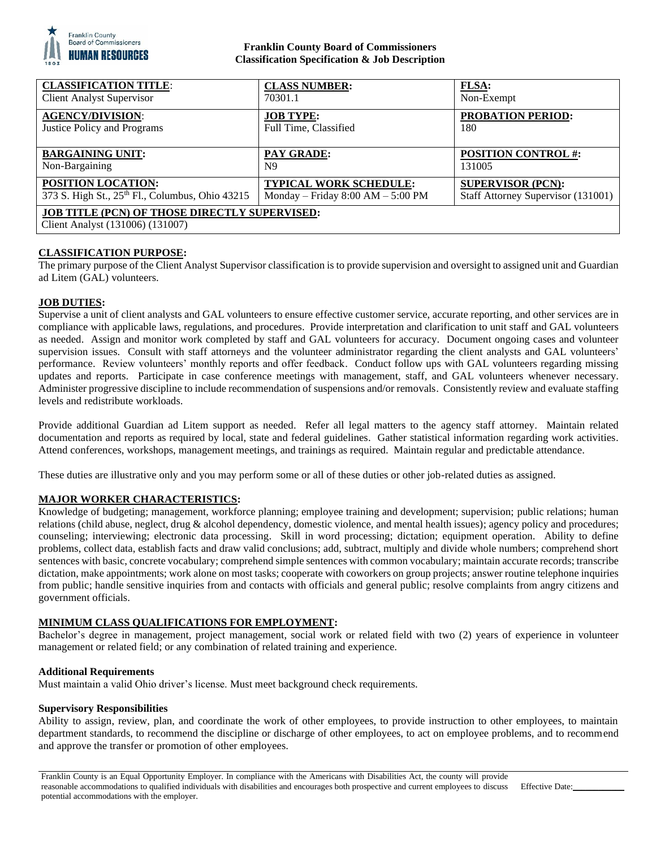

## **Franklin County Board of Commissioners Classification Specification & Job Description**

| <b>CLASSIFICATION TITLE:</b>                                                      | <b>CLASS NUMBER:</b>                | <b>FLSA:</b>                       |
|-----------------------------------------------------------------------------------|-------------------------------------|------------------------------------|
| <b>Client Analyst Supervisor</b>                                                  | 70301.1                             | Non-Exempt                         |
| <b>AGENCY/DIVISION:</b>                                                           | <b>JOB TYPE:</b>                    | <b>PROBATION PERIOD:</b>           |
| <b>Justice Policy and Programs</b>                                                | Full Time, Classified               | 180                                |
| <b>BARGAINING UNIT:</b>                                                           | PAY GRADE:                          | <b>POSITION CONTROL #:</b>         |
| Non-Bargaining                                                                    | N <sub>9</sub>                      | 131005                             |
| <b>POSITION LOCATION:</b>                                                         | <b>TYPICAL WORK SCHEDULE:</b>       | <b>SUPERVISOR (PCN):</b>           |
| 373 S. High St., 25th Fl., Columbus, Ohio 43215                                   | Monday – Friday $8:00 AM - 5:00 PM$ | Staff Attorney Supervisor (131001) |
| JOB TITLE (PCN) OF THOSE DIRECTLY SUPERVISED:<br>Client Analyst (131006) (131007) |                                     |                                    |

## **CLASSIFICATION PURPOSE:**

The primary purpose of the Client Analyst Supervisor classification is to provide supervision and oversight to assigned unit and Guardian ad Litem (GAL) volunteers.

## **JOB DUTIES:**

Supervise a unit of client analysts and GAL volunteers to ensure effective customer service, accurate reporting, and other services are in compliance with applicable laws, regulations, and procedures. Provide interpretation and clarification to unit staff and GAL volunteers as needed. Assign and monitor work completed by staff and GAL volunteers for accuracy. Document ongoing cases and volunteer supervision issues. Consult with staff attorneys and the volunteer administrator regarding the client analysts and GAL volunteers' performance. Review volunteers' monthly reports and offer feedback. Conduct follow ups with GAL volunteers regarding missing updates and reports. Participate in case conference meetings with management, staff, and GAL volunteers whenever necessary. Administer progressive discipline to include recommendation of suspensions and/or removals. Consistently review and evaluate staffing levels and redistribute workloads.

Provide additional Guardian ad Litem support as needed. Refer all legal matters to the agency staff attorney. Maintain related documentation and reports as required by local, state and federal guidelines. Gather statistical information regarding work activities. Attend conferences, workshops, management meetings, and trainings as required. Maintain regular and predictable attendance.

These duties are illustrative only and you may perform some or all of these duties or other job-related duties as assigned.

## **MAJOR WORKER CHARACTERISTICS:**

Knowledge of budgeting; management, workforce planning; employee training and development; supervision; public relations; human relations (child abuse, neglect, drug & alcohol dependency, domestic violence, and mental health issues); agency policy and procedures; counseling; interviewing; electronic data processing. Skill in word processing; dictation; equipment operation. Ability to define problems, collect data, establish facts and draw valid conclusions; add, subtract, multiply and divide whole numbers; comprehend short sentences with basic, concrete vocabulary; comprehend simple sentences with common vocabulary; maintain accurate records; transcribe dictation, make appointments; work alone on most tasks; cooperate with coworkers on group projects; answer routine telephone inquiries from public; handle sensitive inquiries from and contacts with officials and general public; resolve complaints from angry citizens and government officials.

## **MINIMUM CLASS QUALIFICATIONS FOR EMPLOYMENT:**

Bachelor's degree in management, project management, social work or related field with two (2) years of experience in volunteer management or related field; or any combination of related training and experience.

## **Additional Requirements**

Must maintain a valid Ohio driver's license. Must meet background check requirements.

#### **Supervisory Responsibilities**

Ability to assign, review, plan, and coordinate the work of other employees, to provide instruction to other employees, to maintain department standards, to recommend the discipline or discharge of other employees, to act on employee problems, and to recommend and approve the transfer or promotion of other employees.

Franklin County is an Equal Opportunity Employer. In compliance with the Americans with Disabilities Act, the county will provide reasonable accommodations to qualified individuals with disabilities and encourages both prospective and current employees to discuss potential accommodations with the employer.

Effective Date: